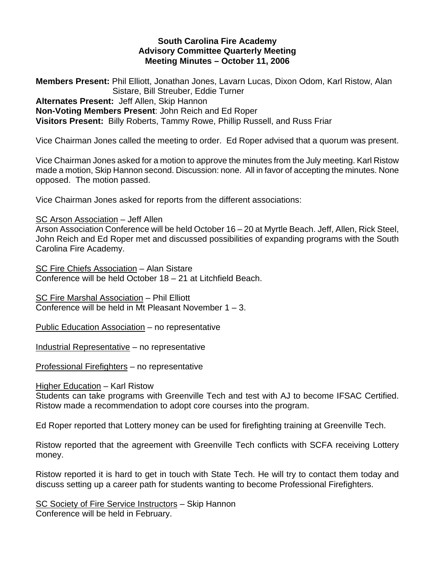### **South Carolina Fire Academy Advisory Committee Quarterly Meeting Meeting Minutes – October 11, 2006**

**Members Present:** Phil Elliott, Jonathan Jones, Lavarn Lucas, Dixon Odom, Karl Ristow, Alan Sistare, Bill Streuber, Eddie Turner **Alternates Present:** Jeff Allen, Skip Hannon **Non-Voting Members Present**: John Reich and Ed Roper **Visitors Present:** Billy Roberts, Tammy Rowe, Phillip Russell, and Russ Friar

Vice Chairman Jones called the meeting to order. Ed Roper advised that a quorum was present.

Vice Chairman Jones asked for a motion to approve the minutes from the July meeting. Karl Ristow made a motion, Skip Hannon second. Discussion: none. All in favor of accepting the minutes. None opposed. The motion passed.

Vice Chairman Jones asked for reports from the different associations:

### SC Arson Association – Jeff Allen

Arson Association Conference will be held October 16 – 20 at Myrtle Beach. Jeff, Allen, Rick Steel, John Reich and Ed Roper met and discussed possibilities of expanding programs with the South Carolina Fire Academy.

SC Fire Chiefs Association – Alan Sistare Conference will be held October 18 – 21 at Litchfield Beach.

SC Fire Marshal Association – Phil Elliott Conference will be held in Mt Pleasant November 1 – 3.

Public Education Association – no representative

Industrial Representative – no representative

Professional Firefighters – no representative

**Higher Education – Karl Ristow** 

Students can take programs with Greenville Tech and test with AJ to become IFSAC Certified. Ristow made a recommendation to adopt core courses into the program.

Ed Roper reported that Lottery money can be used for firefighting training at Greenville Tech.

Ristow reported that the agreement with Greenville Tech conflicts with SCFA receiving Lottery money.

Ristow reported it is hard to get in touch with State Tech. He will try to contact them today and discuss setting up a career path for students wanting to become Professional Firefighters.

SC Society of Fire Service Instructors – Skip Hannon Conference will be held in February.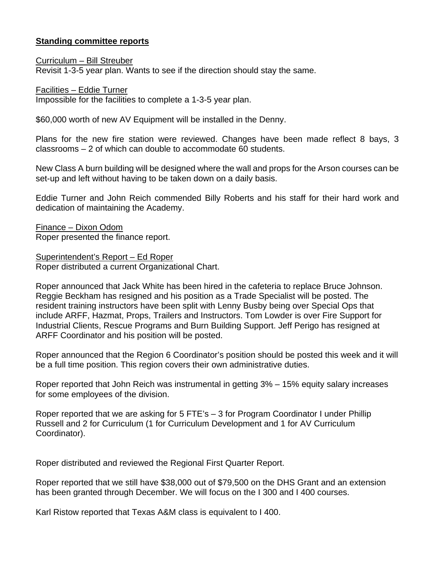### **Standing committee reports**

Curriculum – Bill Streuber

Revisit 1-3-5 year plan. Wants to see if the direction should stay the same.

Facilities – Eddie Turner

Impossible for the facilities to complete a 1-3-5 year plan.

\$60,000 worth of new AV Equipment will be installed in the Denny.

Plans for the new fire station were reviewed. Changes have been made reflect 8 bays, 3 classrooms – 2 of which can double to accommodate 60 students.

New Class A burn building will be designed where the wall and props for the Arson courses can be set-up and left without having to be taken down on a daily basis.

Eddie Turner and John Reich commended Billy Roberts and his staff for their hard work and dedication of maintaining the Academy.

Finance – Dixon Odom Roper presented the finance report.

Superintendent's Report – Ed Roper Roper distributed a current Organizational Chart.

Roper announced that Jack White has been hired in the cafeteria to replace Bruce Johnson. Reggie Beckham has resigned and his position as a Trade Specialist will be posted. The resident training instructors have been split with Lenny Busby being over Special Ops that include ARFF, Hazmat, Props, Trailers and Instructors. Tom Lowder is over Fire Support for Industrial Clients, Rescue Programs and Burn Building Support. Jeff Perigo has resigned at ARFF Coordinator and his position will be posted.

Roper announced that the Region 6 Coordinator's position should be posted this week and it will be a full time position. This region covers their own administrative duties.

Roper reported that John Reich was instrumental in getting 3% – 15% equity salary increases for some employees of the division.

Roper reported that we are asking for 5 FTE's – 3 for Program Coordinator I under Phillip Russell and 2 for Curriculum (1 for Curriculum Development and 1 for AV Curriculum Coordinator).

Roper distributed and reviewed the Regional First Quarter Report.

Roper reported that we still have \$38,000 out of \$79,500 on the DHS Grant and an extension has been granted through December. We will focus on the I 300 and I 400 courses.

Karl Ristow reported that Texas A&M class is equivalent to I 400.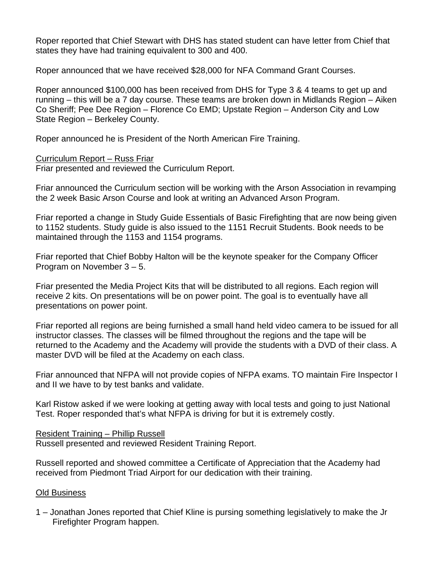Roper reported that Chief Stewart with DHS has stated student can have letter from Chief that states they have had training equivalent to 300 and 400.

Roper announced that we have received \$28,000 for NFA Command Grant Courses.

Roper announced \$100,000 has been received from DHS for Type 3 & 4 teams to get up and running – this will be a 7 day course. These teams are broken down in Midlands Region – Aiken Co Sheriff; Pee Dee Region – Florence Co EMD; Upstate Region – Anderson City and Low State Region – Berkeley County.

Roper announced he is President of the North American Fire Training.

Curriculum Report – Russ Friar

Friar presented and reviewed the Curriculum Report.

Friar announced the Curriculum section will be working with the Arson Association in revamping the 2 week Basic Arson Course and look at writing an Advanced Arson Program.

Friar reported a change in Study Guide Essentials of Basic Firefighting that are now being given to 1152 students. Study guide is also issued to the 1151 Recruit Students. Book needs to be maintained through the 1153 and 1154 programs.

Friar reported that Chief Bobby Halton will be the keynote speaker for the Company Officer Program on November 3 – 5.

Friar presented the Media Project Kits that will be distributed to all regions. Each region will receive 2 kits. On presentations will be on power point. The goal is to eventually have all presentations on power point.

Friar reported all regions are being furnished a small hand held video camera to be issued for all instructor classes. The classes will be filmed throughout the regions and the tape will be returned to the Academy and the Academy will provide the students with a DVD of their class. A master DVD will be filed at the Academy on each class.

Friar announced that NFPA will not provide copies of NFPA exams. TO maintain Fire Inspector I and II we have to by test banks and validate.

Karl Ristow asked if we were looking at getting away with local tests and going to just National Test. Roper responded that's what NFPA is driving for but it is extremely costly.

# Resident Training – Phillip Russell

Russell presented and reviewed Resident Training Report.

Russell reported and showed committee a Certificate of Appreciation that the Academy had received from Piedmont Triad Airport for our dedication with their training.

# Old Business

1 – Jonathan Jones reported that Chief Kline is pursing something legislatively to make the Jr Firefighter Program happen.